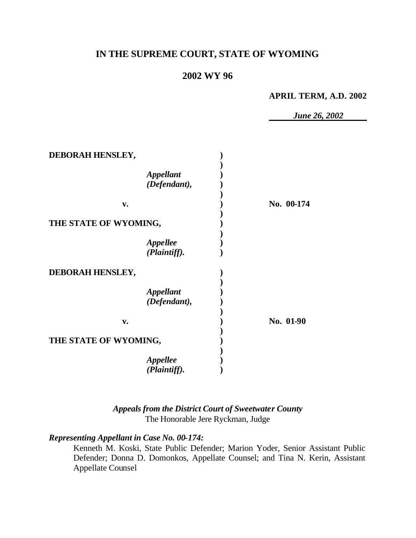# **IN THE SUPREME COURT, STATE OF WYOMING**

# **2002 WY 96**

### **APRIL TERM, A.D. 2002**

*June 26, 2002*

| DEBORAH HENSLEY,        |                                         |            |
|-------------------------|-----------------------------------------|------------|
|                         | <b>Appellant</b><br>(Defendant),        |            |
| v.                      |                                         | No. 00-174 |
| THE STATE OF WYOMING,   |                                         |            |
|                         | <b>Appellee</b><br>(Plaintiff).         |            |
| <b>DEBORAH HENSLEY,</b> |                                         |            |
|                         | <i><b>Appellant</b></i><br>(Defendant), |            |
| v.                      |                                         | No. 01-90  |
| THE STATE OF WYOMING,   |                                         |            |
|                         | <i><b>Appellee</b></i><br>(Plaintiff).  |            |

*Appeals from the District Court of Sweetwater County* The Honorable Jere Ryckman, Judge

*Representing Appellant in Case No. 00-174:*

Kenneth M. Koski, State Public Defender; Marion Yoder, Senior Assistant Public Defender; Donna D. Domonkos, Appellate Counsel; and Tina N. Kerin, Assistant Appellate Counsel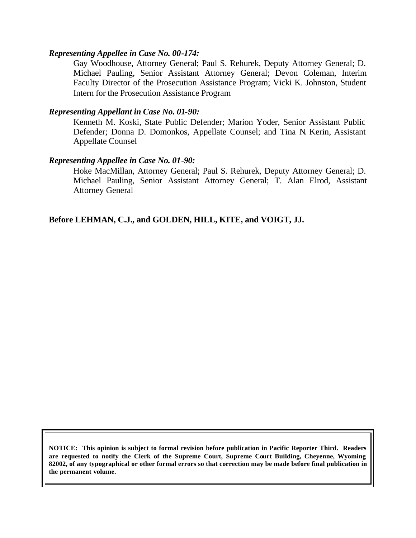#### *Representing Appellee in Case No. 00-174:*

Gay Woodhouse, Attorney General; Paul S. Rehurek, Deputy Attorney General; D. Michael Pauling, Senior Assistant Attorney General; Devon Coleman, Interim Faculty Director of the Prosecution Assistance Program; Vicki K. Johnston, Student Intern for the Prosecution Assistance Program

#### *Representing Appellant in Case No. 01-90:*

Kenneth M. Koski, State Public Defender; Marion Yoder, Senior Assistant Public Defender; Donna D. Domonkos, Appellate Counsel; and Tina N. Kerin, Assistant Appellate Counsel

#### *Representing Appellee in Case No. 01-90:*

Hoke MacMillan, Attorney General; Paul S. Rehurek, Deputy Attorney General; D. Michael Pauling, Senior Assistant Attorney General; T. Alan Elrod, Assistant Attorney General

**Before LEHMAN, C.J., and GOLDEN, HILL, KITE, and VOIGT, JJ.**

**NOTICE: This opinion is subject to formal revision before publication in Pacific Reporter Third. Readers are requested to notify the Clerk of the Supreme Court, Supreme Court Building, Cheyenne, Wyoming 82002, of any typographical or other formal errors so that correction may be made before final publication in the permanent volume.**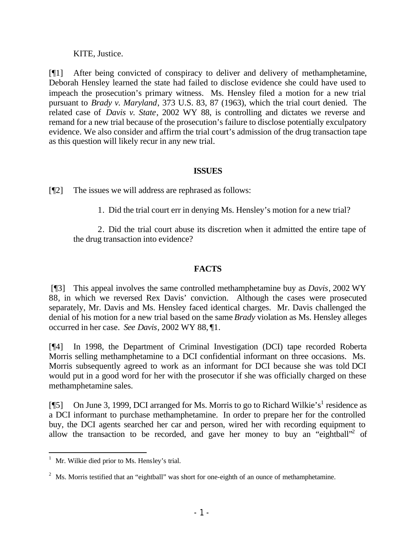### KITE, Justice.

[¶1] After being convicted of conspiracy to deliver and delivery of methamphetamine, Deborah Hensley learned the state had failed to disclose evidence she could have used to impeach the prosecution's primary witness. Ms. Hensley filed a motion for a new trial pursuant to *Brady v. Maryland*, 373 U.S. 83, 87 (1963), which the trial court denied. The related case of *Davis v. State*, 2002 WY 88, is controlling and dictates we reverse and remand for a new trial because of the prosecution's failure to disclose potentially exculpatory evidence. We also consider and affirm the trial court's admission of the drug transaction tape as this question will likely recur in any new trial.

### **ISSUES**

[¶2] The issues we will address are rephrased as follows:

1. Did the trial court err in denying Ms. Hensley's motion for a new trial?

2. Did the trial court abuse its discretion when it admitted the entire tape of the drug transaction into evidence?

# **FACTS**

 [¶3] This appeal involves the same controlled methamphetamine buy as *Davis*, 2002 WY 88*,* in which we reversed Rex Davis' conviction. Although the cases were prosecuted separately, Mr. Davis and Ms. Hensley faced identical charges. Mr. Davis challenged the denial of his motion for a new trial based on the same *Brady* violation as Ms. Hensley alleges occurred in her case. *See Davis*, 2002 WY 88, ¶1.

[¶4] In 1998, the Department of Criminal Investigation (DCI) tape recorded Roberta Morris selling methamphetamine to a DCI confidential informant on three occasions. Ms. Morris subsequently agreed to work as an informant for DCI because she was told DCI would put in a good word for her with the prosecutor if she was officially charged on these methamphetamine sales.

[¶5] On June 3, 1999, DCI arranged for Ms. Morris to go to Richard Wilkie's<sup>1</sup> residence as a DCI informant to purchase methamphetamine. In order to prepare her for the controlled buy, the DCI agents searched her car and person, wired her with recording equipment to allow the transaction to be recorded, and gave her money to buy an "eightball"<sup>2</sup> of

 1 Mr. Wilkie died prior to Ms. Hensley's trial.

<sup>&</sup>lt;sup>2</sup> Ms. Morris testified that an "eightball" was short for one-eighth of an ounce of methamphetamine.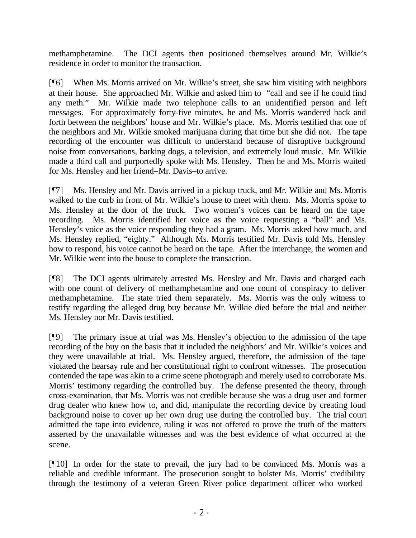methamphetamine. The DCI agents then positioned themselves around Mr. Wilkie's residence in order to monitor the transaction.

[¶6] When Ms. Morris arrived on Mr. Wilkie's street, she saw him visiting with neighbors at their house. She approached Mr. Wilkie and asked him to "call and see if he could find any meth." Mr. Wilkie made two telephone calls to an unidentified person and left messages. For approximately forty-five minutes, he and Ms. Morris wandered back and forth between the neighbors' house and Mr. Wilkie's place. Ms. Morris testified that one of the neighbors and Mr. Wilkie smoked marijuana during that time but she did not. The tape recording of the encounter was difficult to understand because of disruptive background noise from conversations, barking dogs, a television, and extremely loud music. Mr. Wilkie made a third call and purportedly spoke with Ms. Hensley. Then he and Ms. Morris waited for Ms. Hensley and her friend–Mr. Davis–to arrive.

[¶7] Ms. Hensley and Mr. Davis arrived in a pickup truck, and Mr. Wilkie and Ms. Morris walked to the curb in front of Mr. Wilkie's house to meet with them. Ms. Morris spoke to Ms. Hensley at the door of the truck. Two women's voices can be heard on the tape recording. Ms. Morris identified her voice as the voice requesting a "ball" and Ms. Hensley's voice as the voice responding they had a gram. Ms. Morris asked how much, and Ms. Hensley replied, "eighty." Although Ms. Morris testified Mr. Davis told Ms. Hensley how to respond, his voice cannot be heard on the tape. After the interchange, the women and Mr. Wilkie went into the house to complete the transaction.

[¶8] The DCI agents ultimately arrested Ms. Hensley and Mr. Davis and charged each with one count of delivery of methamphetamine and one count of conspiracy to deliver methamphetamine. The state tried them separately. Ms. Morris was the only witness to testify regarding the alleged drug buy because Mr. Wilkie died before the trial and neither Ms. Hensley nor Mr. Davis testified.

[¶9] The primary issue at trial was Ms. Hensley's objection to the admission of the tape recording of the buy on the basis that it included the neighbors' and Mr. Wilkie's voices and they were unavailable at trial. Ms. Hensley argued, therefore, the admission of the tape violated the hearsay rule and her constitutional right to confront witnesses. The prosecution contended the tape was akin to a crime scene photograph and merely used to corroborate Ms. Morris' testimony regarding the controlled buy. The defense presented the theory, through cross-examination, that Ms. Morris was not credible because she was a drug user and former drug dealer who knew how to, and did, manipulate the recording device by creating loud background noise to cover up her own drug use during the controlled buy. The trial court admitted the tape into evidence, ruling it was not offered to prove the truth of the matters asserted by the unavailable witnesses and was the best evidence of what occurred at the scene.

[¶10] In order for the state to prevail, the jury had to be convinced Ms. Morris was a reliable and credible informant. The prosecution sought to bolster Ms. Morris' credibility through the testimony of a veteran Green River police department officer who worked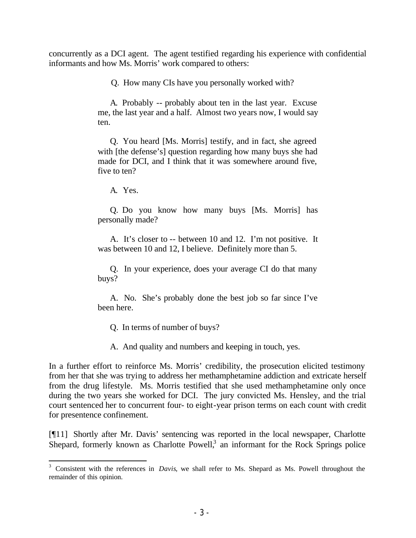concurrently as a DCI agent. The agent testified regarding his experience with confidential informants and how Ms. Morris' work compared to others:

Q. How many CIs have you personally worked with?

A. Probably -- probably about ten in the last year. Excuse me, the last year and a half. Almost two years now, I would say ten.

Q. You heard [Ms. Morris] testify, and in fact, she agreed with [the defense's] question regarding how many buys she had made for DCI, and I think that it was somewhere around five, five to ten?

A. Yes.

Q. Do you know how many buys [Ms. Morris] has personally made?

A. It's closer to -- between 10 and 12. I'm not positive. It was between 10 and 12, I believe. Definitely more than 5.

Q. In your experience, does your average CI do that many buys?

A. No. She's probably done the best job so far since I've been here.

Q. In terms of number of buys?

A. And quality and numbers and keeping in touch, yes.

In a further effort to reinforce Ms. Morris' credibility, the prosecution elicited testimony from her that she was trying to address her methamphetamine addiction and extricate herself from the drug lifestyle. Ms. Morris testified that she used methamphetamine only once during the two years she worked for DCI. The jury convicted Ms. Hensley, and the trial court sentenced her to concurrent four- to eight-year prison terms on each count with credit for presentence confinement.

[¶11] Shortly after Mr. Davis' sentencing was reported in the local newspaper, Charlotte Shepard, formerly known as Charlotte Powell, $3$  an informant for the Rock Springs police

<sup>&</sup>lt;sup>3</sup> Consistent with the references in *Davis*, we shall refer to Ms. Shepard as Ms. Powell throughout the remainder of this opinion.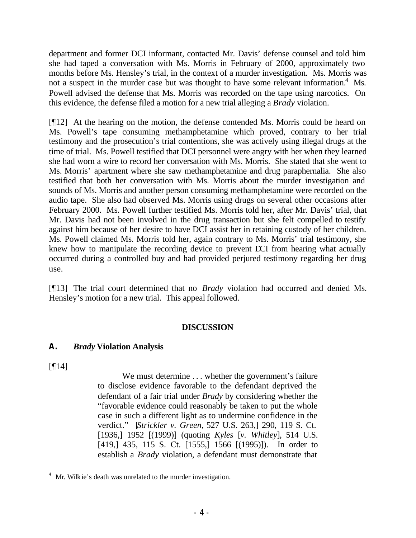department and former DCI informant, contacted Mr. Davis' defense counsel and told him she had taped a conversation with Ms. Morris in February of 2000, approximately two months before Ms. Hensley's trial, in the context of a murder investigation. Ms. Morris was not a suspect in the murder case but was thought to have some relevant information.<sup>4</sup> Ms. Powell advised the defense that Ms. Morris was recorded on the tape using narcotics. On this evidence, the defense filed a motion for a new trial alleging a *Brady* violation.

[¶12] At the hearing on the motion, the defense contended Ms. Morris could be heard on Ms. Powell's tape consuming methamphetamine which proved, contrary to her trial testimony and the prosecution's trial contentions, she was actively using illegal drugs at the time of trial. Ms. Powell testified that DCI personnel were angry with her when they learned she had worn a wire to record her conversation with Ms. Morris. She stated that she went to Ms. Morris' apartment where she saw methamphetamine and drug paraphernalia. She also testified that both her conversation with Ms. Morris about the murder investigation and sounds of Ms. Morris and another person consuming methamphetamine were recorded on the audio tape. She also had observed Ms. Morris using drugs on several other occasions after February 2000. Ms. Powell further testified Ms. Morris told her, after Mr. Davis' trial, that Mr. Davis had not been involved in the drug transaction but she felt compelled to testify against him because of her desire to have DCI assist her in retaining custody of her children. Ms. Powell claimed Ms. Morris told her, again contrary to Ms. Morris' trial testimony, she knew how to manipulate the recording device to prevent DCI from hearing what actually occurred during a controlled buy and had provided perjured testimony regarding her drug use.

[¶13] The trial court determined that no *Brady* violation had occurred and denied Ms. Hensley's motion for a new trial. This appeal followed.

# **DISCUSSION**

# **A.** *Brady* **Violation Analysis**

 $[$ [[14]]

We must determine ... whether the government's failure to disclose evidence favorable to the defendant deprived the defendant of a fair trial under *Brady* by considering whether the "favorable evidence could reasonably be taken to put the whole case in such a different light as to undermine confidence in the verdict." [*Strickler v. Green,* 527 U.S. 263,] 290, 119 S. Ct. [1936,] 1952 [(1999)] (quoting *Kyles* [*v. Whitley*]*,* 514 U.S. [419,] 435, 115 S. Ct. [1555,] 1566 [(1995)]). In order to establish a *Brady* violation, a defendant must demonstrate that

<sup>4</sup> Mr. Wilkie's death was unrelated to the murder investigation.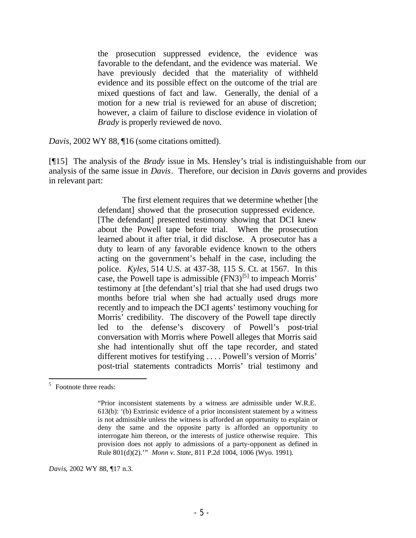the prosecution suppressed evidence, the evidence was favorable to the defendant, and the evidence was material. We have previously decided that the materiality of withheld evidence and its possible effect on the outcome of the trial are mixed questions of fact and law. Generally, the denial of a motion for a new trial is reviewed for an abuse of discretion; however, a claim of failure to disclose evidence in violation of *Brady* is properly reviewed de novo.

*Davis*, 2002 WY 88, 16 (some citations omitted).

[¶15] The analysis of the *Brady* issue in Ms. Hensley's trial is indistinguishable from our analysis of the same issue in *Davis*. Therefore, our decision in *Davis* governs and provides in relevant part:

> The first element requires that we determine whether [the defendant] showed that the prosecution suppressed evidence. [The defendant] presented testimony showing that DCI knew about the Powell tape before trial. When the prosecution learned about it after trial, it did disclose. A prosecutor has a duty to learn of any favorable evidence known to the others acting on the government's behalf in the case, including the police. *Kyles,* 514 U.S. at 437-38, 115 S. Ct. at 1567. In this case, the Powell tape is admissible  $(FN3)^{[5]}$  to impeach Morris' testimony at [the defendant's] trial that she had used drugs two months before trial when she had actually used drugs more recently and to impeach the DCI agents' testimony vouching for Morris' credibility. The discovery of the Powell tape directly led to the defense's discovery of Powell's post-trial conversation with Morris where Powell alleges that Morris said she had intentionally shut off the tape recorder, and stated different motives for testifying . . . . Powell's version of Morris' post-trial statements contradicts Morris' trial testimony and

*Davis*, 2002 WY 88, ¶17 n.3.

<sup>5</sup> Footnote three reads:

<sup>&</sup>quot;Prior inconsistent statements by a witness are admissible under W.R.E. 613(b): '(b) Extrinsic evidence of a prior inconsistent statement by a witness is not admissible unless the witness is afforded an opportunity to explain or deny the same and the opposite party is afforded an opportunity to interrogate him thereon, or the interests of justice otherwise require. This provision does not apply to admissions of a party-opponent as defined in Rule 801(d)(2).'" *Monn v. State*, 811 P.2d 1004, 1006 (Wyo. 1991).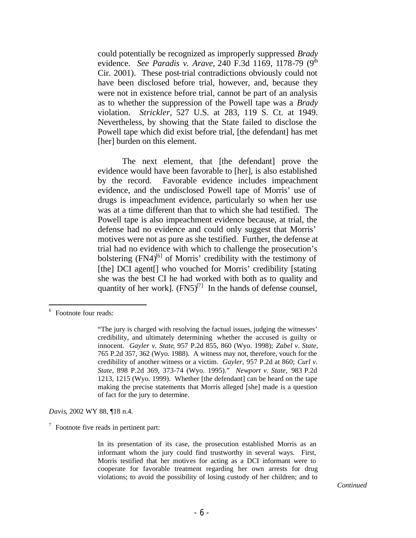could potentially be recognized as improperly suppressed *Brady*  evidence. *See Paradis v. Arave*, 240 F.3d 1169, 1178-79 (9<sup>th</sup>) Cir. 2001). These post-trial contradictions obviously could not have been disclosed before trial, however, and, because they were not in existence before trial, cannot be part of an analysis as to whether the suppression of the Powell tape was a *Brady* violation. *Strickler,* 527 U.S. at 283, 119 S. Ct. at 1949. Nevertheless, by showing that the State failed to disclose the Powell tape which did exist before trial, [the defendant] has met [her] burden on this element.

The next element, that [the defendant] prove the evidence would have been favorable to [her], is also established by the record. Favorable evidence includes impeachment evidence, and the undisclosed Powell tape of Morris' use of drugs is impeachment evidence, particularly so when her use was at a time different than that to which she had testified. The Powell tape is also impeachment evidence because, at trial, the defense had no evidence and could only suggest that Morris' motives were not as pure as she testified. Further, the defense at trial had no evidence with which to challenge the prosecution's bolstering  $(FN4)^{[6]}$  of Morris' credibility with the testimony of [the] DCI agent<sup>[]</sup> who vouched for Morris' credibility [stating] she was the best CI he had worked with both as to quality and quantity of her work].  $(FN5)^{[7]}$  In the hands of defense counsel,

*Davis*, 2002 WY 88, ¶18 n.4.

 $\frac{7}{7}$  Footnote five reads in pertinent part:

In its presentation of its case, the prosecution established Morris as an informant whom the jury could find trustworthy in several ways. First, Morris testified that her motives for acting as a DCI informant were to cooperate for favorable treatment regarding her own arrests for drug violations; to avoid the possibility of losing custody of her children; and to

<sup>6</sup> Footnote four reads:

<sup>&</sup>quot;The jury is charged with resolving the factual issues, judging the witnesses' credibility, and ultimately determining whether the accused is guilty or innocent. *Gayler v. State*, 957 P.2d 855, 860 (Wyo. 1998); *Zabel v. State*, 765 P.2d 357, 362 (Wyo. 1988). A witness may not, therefore, vouch for the credibility of another witness or a victim. *Gayler,* 957 P.2d at 860; *Curl v. State*, 898 P.2d 369, 373-74 (Wyo. 1995)." *Newport v. State,* 983 P.2d 1213, 1215 (Wyo. 1999). Whether [the defendant] can be heard on the tape making the precise statements that Morris alleged [she] made is a question of fact for the jury to determine.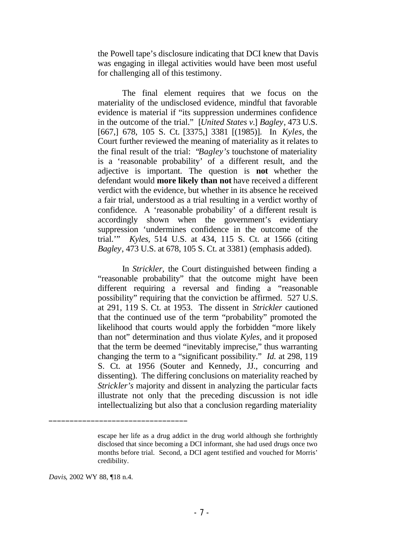the Powell tape's disclosure indicating that DCI knew that Davis was engaging in illegal activities would have been most useful for challenging all of this testimony.

The final element requires that we focus on the materiality of the undisclosed evidence, mindful that favorable evidence is material if "its suppression undermines confidence in the outcome of the trial." [*United States v.*] *Bagley*, 473 U.S. [667,] 678, 105 S. Ct. [3375,] 3381 [(1985)]. In *Kyles*, the Court further reviewed the meaning of materiality as it relates to the final result of the trial: "*Bagley's* touchstone of materiality is a 'reasonable probability' of a different result, and the adjective is important. The question is **not** whether the defendant would **more likely than not** have received a different verdict with the evidence, but whether in its absence he received a fair trial, understood as a trial resulting in a verdict worthy of confidence. A 'reasonable probability' of a different result is accordingly shown when the government's evidentiary suppression 'undermines confidence in the outcome of the trial.'" *Kyles,* 514 U.S. at 434, 115 S. Ct. at 1566 (citing *Bagley*, 473 U.S. at 678, 105 S. Ct. at 3381) (emphasis added).

In *Strickler,* the Court distinguished between finding a "reasonable probability" that the outcome might have been different requiring a reversal and finding a "reasonable possibility" requiring that the conviction be affirmed. 527 U.S. at 291, 119 S. Ct. at 1953. The dissent in *Strickler* cautioned that the continued use of the term "probability" promoted the likelihood that courts would apply the forbidden "more likely than not" determination and thus violate *Kyles,* and it proposed that the term be deemed "inevitably imprecise," thus warranting changing the term to a "significant possibility." *Id.* at 298, 119 S. Ct. at 1956 (Souter and Kennedy, JJ., concurring and dissenting). The differing conclusions on materiality reached by *Strickler's* majority and dissent in analyzing the particular facts illustrate not only that the preceding discussion is not idle intellectualizing but also that a conclusion regarding materiality

*Davis*, 2002 WY 88, ¶18 n.4.

\_\_\_\_\_\_\_\_\_\_\_\_\_\_\_\_\_\_\_\_\_\_\_\_\_\_\_\_\_\_\_\_\_

escape her life as a drug addict in the drug world although she forthrightly disclosed that since becoming a DCI informant, she had used drugs once two months before trial. Second, a DCI agent testified and vouched for Morris' credibility.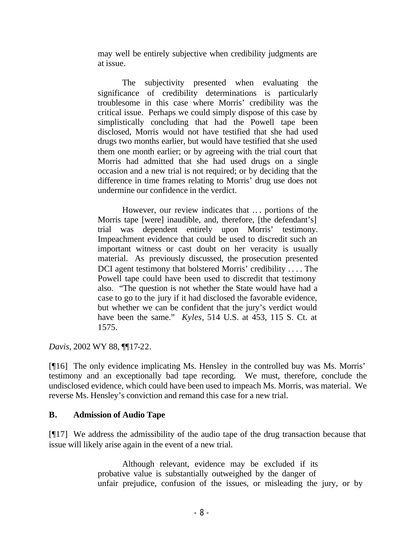may well be entirely subjective when credibility judgments are at issue.

The subjectivity presented when evaluating the significance of credibility determinations is particularly troublesome in this case where Morris' credibility was the critical issue. Perhaps we could simply dispose of this case by simplistically concluding that had the Powell tape been disclosed, Morris would not have testified that she had used drugs two months earlier, but would have testified that she used them one month earlier; or by agreeing with the trial court that Morris had admitted that she had used drugs on a single occasion and a new trial is not required; or by deciding that the difference in time frames relating to Morris' drug use does not undermine our confidence in the verdict.

However, our review indicates that .. . portions of the Morris tape [were] inaudible, and, therefore, [the defendant's] trial was dependent entirely upon Morris' testimony. Impeachment evidence that could be used to discredit such an important witness or cast doubt on her veracity is usually material. As previously discussed, the prosecution presented DCI agent testimony that bolstered Morris' credibility . . . . The Powell tape could have been used to discredit that testimony also. "The question is not whether the State would have had a case to go to the jury if it had disclosed the favorable evidence, but whether we can be confident that the jury's verdict would have been the same." *Kyles,* 514 U.S. at 453, 115 S. Ct. at 1575.

*Davis*, 2002 WY 88, ¶¶17-22.

[¶16] The only evidence implicating Ms. Hensley in the controlled buy was Ms. Morris' testimony and an exceptionally bad tape recording. We must, therefore, conclude the undisclosed evidence, which could have been used to impeach Ms. Morris, was material. We reverse Ms. Hensley's conviction and remand this case for a new trial.

# **B. Admission of Audio Tape**

[¶17] We address the admissibility of the audio tape of the drug transaction because that issue will likely arise again in the event of a new trial.

> Although relevant, evidence may be excluded if its probative value is substantially outweighed by the danger of unfair prejudice, confusion of the issues, or misleading the jury, or by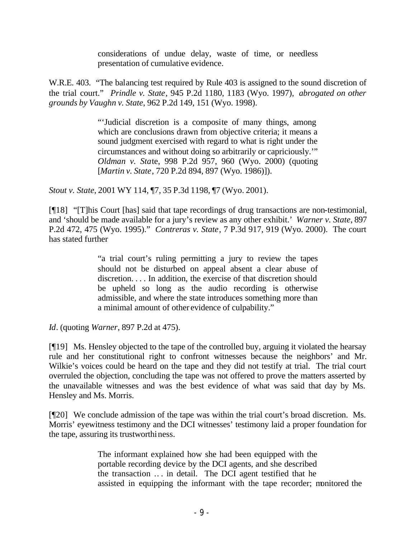considerations of undue delay, waste of time, or needless presentation of cumulative evidence.

W.R.E. 403. "The balancing test required by Rule 403 is assigned to the sound discretion of the trial court." *Prindle v. State*, 945 P.2d 1180, 1183 (Wyo. 1997), *abrogated on other grounds by Vaughn v. State*, 962 P.2d 149, 151 (Wyo. 1998).

> "'Judicial discretion is a composite of many things, among which are conclusions drawn from objective criteria; it means a sound judgment exercised with regard to what is right under the circumstances and without doing so arbitrarily or capriciously.'" *Oldman v. Sta*te, 998 P.2d 957, 960 (Wyo. 2000) (quoting [*Martin v. State*, 720 P.2d 894, 897 (Wyo. 1986)]).

*Stout v. State*, 2001 WY 114, ¶7, 35 P.3d 1198, ¶7 (Wyo. 2001).

[¶18] "[T]his Court [has] said that tape recordings of drug transactions are non-testimonial, and 'should be made available for a jury's review as any other exhibit.' *Warner v. State*, 897 P.2d 472, 475 (Wyo. 1995)." *Contreras v. State*, 7 P.3d 917, 919 (Wyo. 2000). The court has stated further

> "a trial court's ruling permitting a jury to review the tapes should not be disturbed on appeal absent a clear abuse of discretion. . . . In addition, the exercise of that discretion should be upheld so long as the audio recording is otherwise admissible, and where the state introduces something more than a minimal amount of other evidence of culpability."

*Id*. (quoting *Warner*, 897 P.2d at 475).

[¶19] Ms. Hensley objected to the tape of the controlled buy, arguing it violated the hearsay rule and her constitutional right to confront witnesses because the neighbors' and Mr. Wilkie's voices could be heard on the tape and they did not testify at trial. The trial court overruled the objection, concluding the tape was not offered to prove the matters asserted by the unavailable witnesses and was the best evidence of what was said that day by Ms. Hensley and Ms. Morris.

[¶20] We conclude admission of the tape was within the trial court's broad discretion. Ms. Morris' eyewitness testimony and the DCI witnesses' testimony laid a proper foundation for the tape, assuring its trustworthiness.

> The informant explained how she had been equipped with the portable recording device by the DCI agents, and she described the transaction .. . in detail. The DCI agent testified that he assisted in equipping the informant with the tape recorder; monitored the